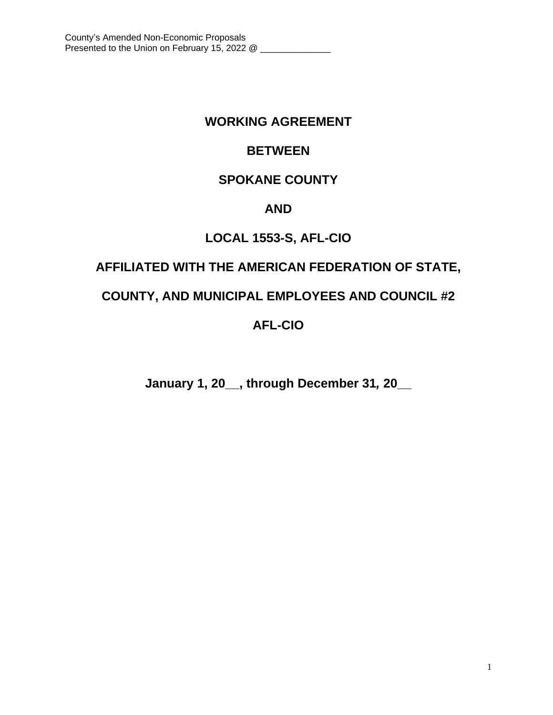# **WORKING AGREEMENT**

# **BETWEEN**

# **SPOKANE COUNTY**

# **AND**

# **LOCAL 1553-S, AFL-CIO**

# **AFFILIATED WITH THE AMERICAN FEDERATION OF STATE,**

# **COUNTY, AND MUNICIPAL EMPLOYEES AND COUNCIL #2**

# **AFL-CIO**

**January 1, 20\_\_, through December 31***,* **20\_\_**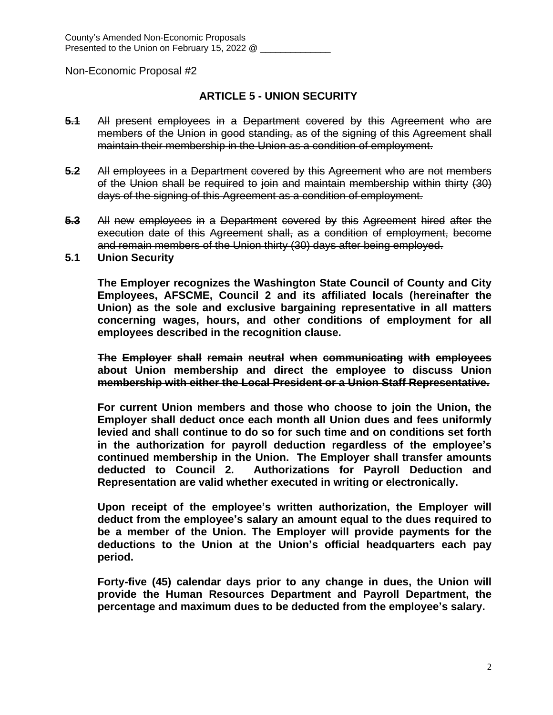# **ARTICLE 5 - UNION SECURITY**

- **5.1** All present employees in a Department covered by this Agreement who are members of the Union in good standing, as of the signing of this Agreement shall maintain their membership in the Union as a condition of employment.
- **5.2** All employees in a Department covered by this Agreement who are not members of the Union shall be required to join and maintain membership within thirty (30) days of the signing of this Agreement as a condition of employment.
- **5.3** All new employees in a Department covered by this Agreement hired after the execution date of this Agreement shall, as a condition of employment, become and remain members of the Union thirty (30) days after being employed.
- **5.1 Union Security**

**The Employer recognizes the Washington State Council of County and City Employees, AFSCME, Council 2 and its affiliated locals (hereinafter the Union) as the sole and exclusive bargaining representative in all matters concerning wages, hours, and other conditions of employment for all employees described in the recognition clause.**

**The Employer shall remain neutral when communicating with employees about Union membership and direct the employee to discuss Union membership with either the Local President or a Union Staff Representative.**

**For current Union members and those who choose to join the Union, the Employer shall deduct once each month all Union dues and fees uniformly levied and shall continue to do so for such time and on conditions set forth in the authorization for payroll deduction regardless of the employee's continued membership in the Union. The Employer shall transfer amounts deducted to Council 2. Authorizations for Payroll Deduction and Representation are valid whether executed in writing or electronically.**

**Upon receipt of the employee's written authorization, the Employer will deduct from the employee's salary an amount equal to the dues required to be a member of the Union. The Employer will provide payments for the deductions to the Union at the Union's official headquarters each pay period.** 

**Forty-five (45) calendar days prior to any change in dues, the Union will provide the Human Resources Department and Payroll Department, the percentage and maximum dues to be deducted from the employee's salary.**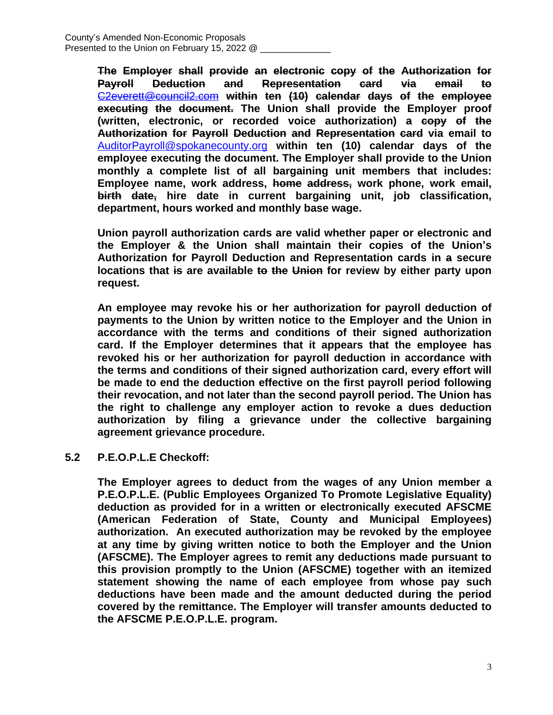**The Employer shall provide an electronic copy of the Authorization for Payroll Deduction and Representation card via email to** [C2everett@council2.com](mailto:C2everett@council2.com) **within ten (10) calendar days of the employee executing the document. The Union shall provide the Employer proof (written, electronic, or recorded voice authorization) a copy of the Authorization for Payroll Deduction and Representation card via email to** [AuditorPayroll@spokanecounty.org](mailto:AuditorPayroll@spokanecounty.org) **within ten (10) calendar days of the employee executing the document. The Employer shall provide to the Union monthly a complete list of all bargaining unit members that includes: Employee name, work address, home address, work phone, work email, birth date, hire date in current bargaining unit, job classification, department, hours worked and monthly base wage.**

**Union payroll authorization cards are valid whether paper or electronic and the Employer & the Union shall maintain their copies of the Union's Authorization for Payroll Deduction and Representation cards in a secure locations that is are available to the Union for review by either party upon request.**

**An employee may revoke his or her authorization for payroll deduction of payments to the Union by written notice to the Employer and the Union in accordance with the terms and conditions of their signed authorization card. If the Employer determines that it appears that the employee has revoked his or her authorization for payroll deduction in accordance with the terms and conditions of their signed authorization card, every effort will be made to end the deduction effective on the first payroll period following their revocation, and not later than the second payroll period. The Union has the right to challenge any employer action to revoke a dues deduction authorization by filing a grievance under the collective bargaining agreement grievance procedure.**

# **5.2 P.E.O.P.L.E Checkoff:**

**The Employer agrees to deduct from the wages of any Union member a P.E.O.P.L.E. (Public Employees Organized To Promote Legislative Equality) deduction as provided for in a written or electronically executed AFSCME (American Federation of State, County and Municipal Employees) authorization. An executed authorization may be revoked by the employee at any time by giving written notice to both the Employer and the Union (AFSCME). The Employer agrees to remit any deductions made pursuant to this provision promptly to the Union (AFSCME) together with an itemized statement showing the name of each employee from whose pay such deductions have been made and the amount deducted during the period covered by the remittance. The Employer will transfer amounts deducted to the AFSCME P.E.O.P.L.E. program.**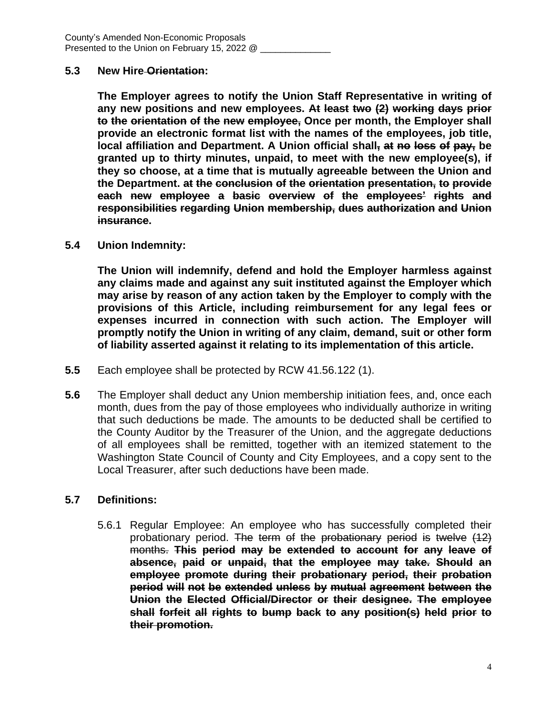### **5.3 New Hire Orientation:**

**The Employer agrees to notify the Union Staff Representative in writing of any new positions and new employees. At least two (2) working days prior to the orientation of the new employee, Once per month, the Employer shall provide an electronic format list with the names of the employees, job title, local affiliation and Department. A Union official shall, at no loss of pay, be granted up to thirty minutes, unpaid, to meet with the new employee(s), if they so choose, at a time that is mutually agreeable between the Union and the Department. at the conclusion of the orientation presentation, to provide each new employee a basic overview of the employees' rights and responsibilities regarding Union membership, dues authorization and Union insurance.**

### **5.4 Union Indemnity:**

**The Union will indemnify, defend and hold the Employer harmless against any claims made and against any suit instituted against the Employer which may arise by reason of any action taken by the Employer to comply with the provisions of this Article, including reimbursement for any legal fees or expenses incurred in connection with such action. The Employer will promptly notify the Union in writing of any claim, demand, suit or other form of liability asserted against it relating to its implementation of this article.**

- **5.5** Each employee shall be protected by RCW 41.56.122 (1).
- **5.6** The Employer shall deduct any Union membership initiation fees, and, once each month, dues from the pay of those employees who individually authorize in writing that such deductions be made. The amounts to be deducted shall be certified to the County Auditor by the Treasurer of the Union, and the aggregate deductions of all employees shall be remitted, together with an itemized statement to the Washington State Council of County and City Employees, and a copy sent to the Local Treasurer, after such deductions have been made.

# **5.7 Definitions:**

5.6.1 Regular Employee: An employee who has successfully completed their probationary period. The term of the probationary period is twelve (12) months. **This period may be extended to account for any leave of absence, paid or unpaid, that the employee may take. Should an employee promote during their probationary period, their probation period will not be extended unless by mutual agreement between the Union the Elected Official/Director or their designee. The employee shall forfeit all rights to bump back to any position(s) held prior to their promotion.**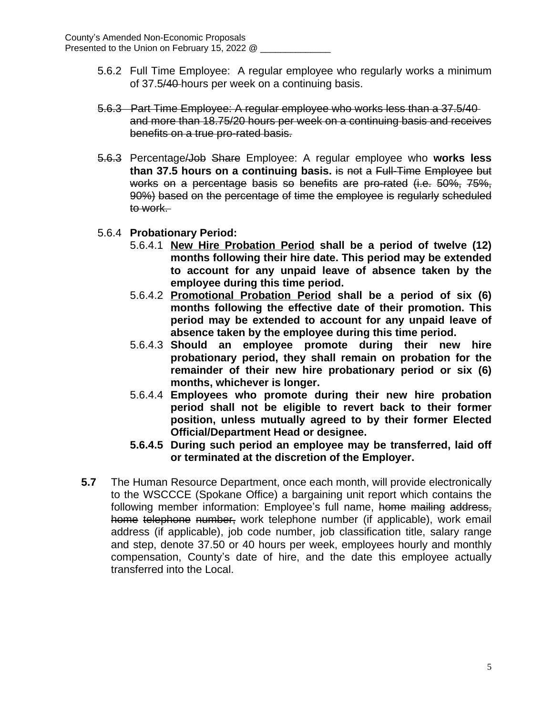- 5.6.2 Full Time Employee: A regular employee who regularly works a minimum of 37.5/40 hours per week on a continuing basis.
- 5.6.3 Part Time Employee: A regular employee who works less than a 37.5/40 and more than 18.75/20 hours per week on a continuing basis and receives benefits on a true pro-rated basis.
- 5.6.3 Percentage/Job Share Employee: A regular employee who **works less than 37.5 hours on a continuing basis.** is not a Full-Time Employee but works on a percentage basis so benefits are pro-rated (i.e. 50%, 75%, 90%) based on the percentage of time the employee is regularly scheduled to work.
- 5.6.4 **Probationary Period:**
	- 5.6.4.1 **New Hire Probation Period shall be a period of twelve (12) months following their hire date. This period may be extended to account for any unpaid leave of absence taken by the employee during this time period.**
	- 5.6.4.2 **Promotional Probation Period shall be a period of six (6) months following the effective date of their promotion. This period may be extended to account for any unpaid leave of absence taken by the employee during this time period.**
	- 5.6.4.3 **Should an employee promote during their new hire probationary period, they shall remain on probation for the remainder of their new hire probationary period or six (6) months, whichever is longer.**
	- 5.6.4.4 **Employees who promote during their new hire probation period shall not be eligible to revert back to their former position, unless mutually agreed to by their former Elected Official/Department Head or designee.**
	- **5.6.4.5 During such period an employee may be transferred, laid off or terminated at the discretion of the Employer.**
- **5.7** The Human Resource Department, once each month, will provide electronically to the WSCCCE (Spokane Office) a bargaining unit report which contains the following member information: Employee's full name, home mailing address, home telephone number, work telephone number (if applicable), work email address (if applicable), job code number, job classification title, salary range and step, denote 37.50 or 40 hours per week, employees hourly and monthly compensation, County's date of hire, and the date this employee actually transferred into the Local.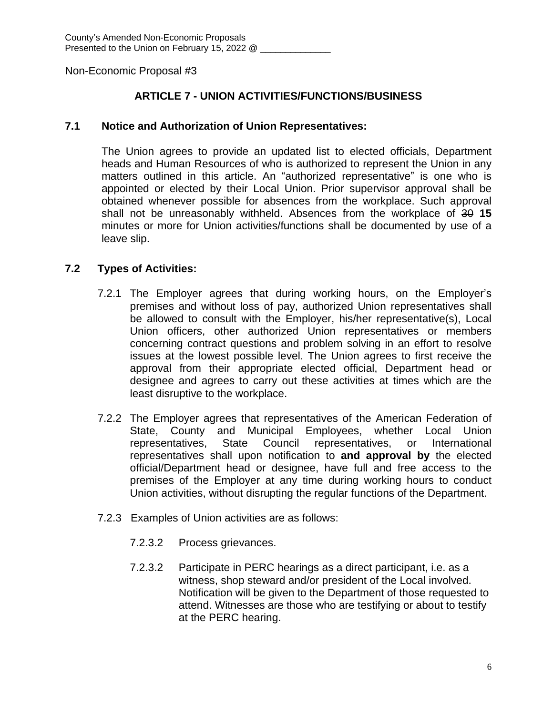# **ARTICLE 7 - UNION ACTIVITIES/FUNCTIONS/BUSINESS**

### **7.1 Notice and Authorization of Union Representatives:**

The Union agrees to provide an updated list to elected officials, Department heads and Human Resources of who is authorized to represent the Union in any matters outlined in this article. An "authorized representative" is one who is appointed or elected by their Local Union. Prior supervisor approval shall be obtained whenever possible for absences from the workplace. Such approval shall not be unreasonably withheld. Absences from the workplace of 30 **15** minutes or more for Union activities/functions shall be documented by use of a leave slip.

# **7.2 Types of Activities:**

- 7.2.1 The Employer agrees that during working hours, on the Employer's premises and without loss of pay, authorized Union representatives shall be allowed to consult with the Employer, his/her representative(s), Local Union officers, other authorized Union representatives or members concerning contract questions and problem solving in an effort to resolve issues at the lowest possible level. The Union agrees to first receive the approval from their appropriate elected official, Department head or designee and agrees to carry out these activities at times which are the least disruptive to the workplace.
- 7.2.2 The Employer agrees that representatives of the American Federation of State, County and Municipal Employees, whether Local Union representatives, State Council representatives, or International representatives shall upon notification to **and approval by** the elected official/Department head or designee, have full and free access to the premises of the Employer at any time during working hours to conduct Union activities, without disrupting the regular functions of the Department.
- 7.2.3 Examples of Union activities are as follows:
	- 7.2.3.2 Process grievances.
	- 7.2.3.2 Participate in PERC hearings as a direct participant, i.e. as a witness, shop steward and/or president of the Local involved. Notification will be given to the Department of those requested to attend. Witnesses are those who are testifying or about to testify at the PERC hearing.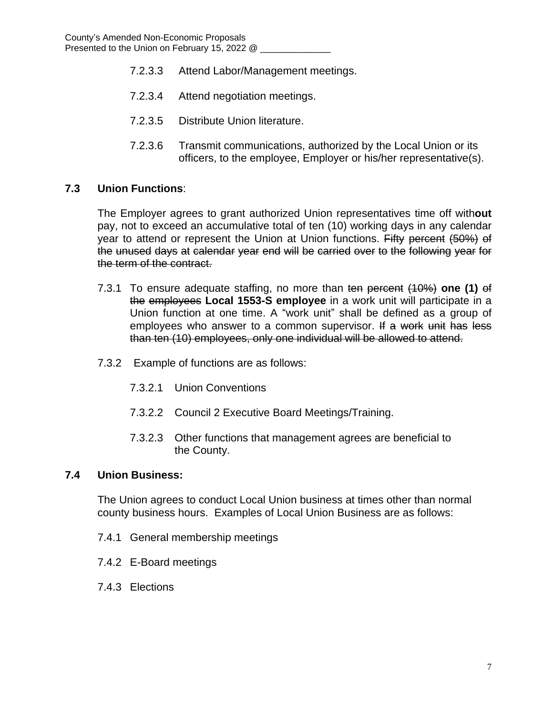- 7.2.3.3 Attend Labor/Management meetings.
- 7.2.3.4 Attend negotiation meetings.
- 7.2.3.5 Distribute Union literature.
- 7.2.3.6 Transmit communications, authorized by the Local Union or its officers, to the employee, Employer or his/her representative(s).

# **7.3 Union Functions**:

The Employer agrees to grant authorized Union representatives time off with**out** pay, not to exceed an accumulative total of ten (10) working days in any calendar year to attend or represent the Union at Union functions. Fifty percent (50%) of the unused days at calendar year end will be carried over to the following year for the term of the contract.

- 7.3.1 To ensure adequate staffing, no more than ten percent (10%) **one (1)** of the employees **Local 1553-S employee** in a work unit will participate in a Union function at one time. A "work unit" shall be defined as a group of employees who answer to a common supervisor. If a work unit has less than ten (10) employees, only one individual will be allowed to attend.
- 7.3.2 Example of functions are as follows:
	- 7.3.2.1 Union Conventions
	- 7.3.2.2 Council 2 Executive Board Meetings/Training.
	- 7.3.2.3 Other functions that management agrees are beneficial to the County.

#### **7.4 Union Business:**

The Union agrees to conduct Local Union business at times other than normal county business hours. Examples of Local Union Business are as follows:

- 7.4.1 General membership meetings
- 7.4.2 E-Board meetings
- 7.4.3 Elections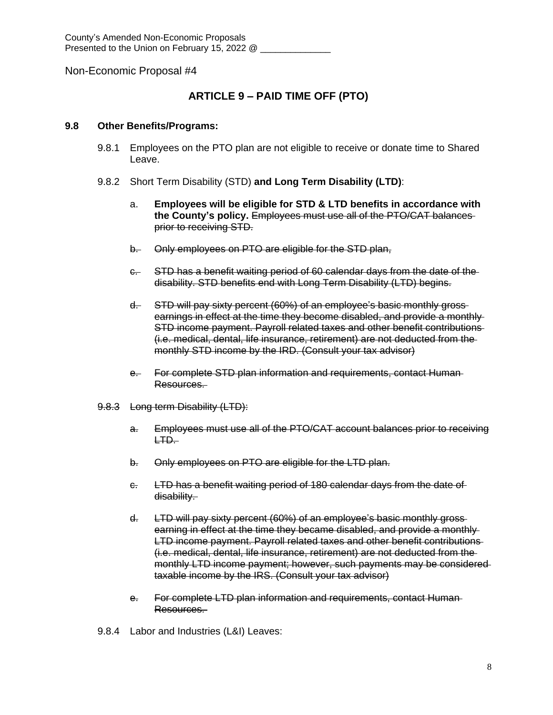# **ARTICLE 9 – PAID TIME OFF (PTO)**

#### **9.8 Other Benefits/Programs:**

- 9.8.1 Employees on the PTO plan are not eligible to receive or donate time to Shared Leave.
- 9.8.2 Short Term Disability (STD) **and Long Term Disability (LTD)**:
	- a. **Employees will be eligible for STD & LTD benefits in accordance with the County's policy.** Employees must use all of the PTO/CAT balances prior to receiving STD.
	- b. Only employees on PTO are eligible for the STD plan,
	- c. STD has a benefit waiting period of 60 calendar days from the date of the disability. STD benefits end with Long Term Disability (LTD) begins.
	- d. STD will pay sixty percent (60%) of an employee's basic monthly gross earnings in effect at the time they become disabled, and provide a monthly STD income payment. Payroll related taxes and other benefit contributions (i.e. medical, dental, life insurance, retirement) are not deducted from the monthly STD income by the IRD. (Consult your tax advisor)
	- e. For complete STD plan information and requirements, contact Human-Resources.
- 9.8.3 Long term Disability (LTD):
	- a. Employees must use all of the PTO/CAT account balances prior to receiving LTD.
	- b. Only employees on PTO are eligible for the LTD plan.
	- c. LTD has a benefit waiting period of 180 calendar days from the date of disability.
	- d. LTD will pay sixty percent (60%) of an employee's basic monthly gross earning in effect at the time they became disabled, and provide a monthly LTD income payment. Payroll related taxes and other benefit contributions (i.e. medical, dental, life insurance, retirement) are not deducted from the monthly LTD income payment; however, such payments may be considered taxable income by the IRS. (Consult your tax advisor)
	- e. For complete LTD plan information and requirements, contact Human Resources.
- 9.8.4 Labor and Industries (L&I) Leaves: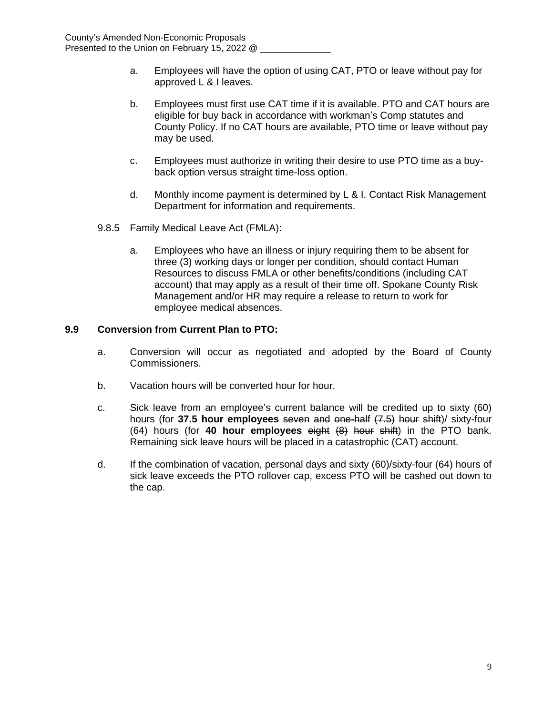- a. Employees will have the option of using CAT, PTO or leave without pay for approved L & I leaves.
- b. Employees must first use CAT time if it is available. PTO and CAT hours are eligible for buy back in accordance with workman's Comp statutes and County Policy. If no CAT hours are available, PTO time or leave without pay may be used.
- c. Employees must authorize in writing their desire to use PTO time as a buyback option versus straight time-loss option.
- d. Monthly income payment is determined by L & I. Contact Risk Management Department for information and requirements.
- 9.8.5 Family Medical Leave Act (FMLA):
	- a. Employees who have an illness or injury requiring them to be absent for three (3) working days or longer per condition, should contact Human Resources to discuss FMLA or other benefits/conditions (including CAT account) that may apply as a result of their time off. Spokane County Risk Management and/or HR may require a release to return to work for employee medical absences.

#### **9.9 Conversion from Current Plan to PTO:**

- a. Conversion will occur as negotiated and adopted by the Board of County Commissioners.
- b. Vacation hours will be converted hour for hour.
- c. Sick leave from an employee's current balance will be credited up to sixty (60) hours (for **37.5 hour employees** seven and one-half (7.5) hour shift)/ sixty-four (64) hours (for **40 hour employees** eight (8) hour shift) in the PTO bank. Remaining sick leave hours will be placed in a catastrophic (CAT) account.
- d. If the combination of vacation, personal days and sixty (60)/sixty-four (64) hours of sick leave exceeds the PTO rollover cap, excess PTO will be cashed out down to the cap.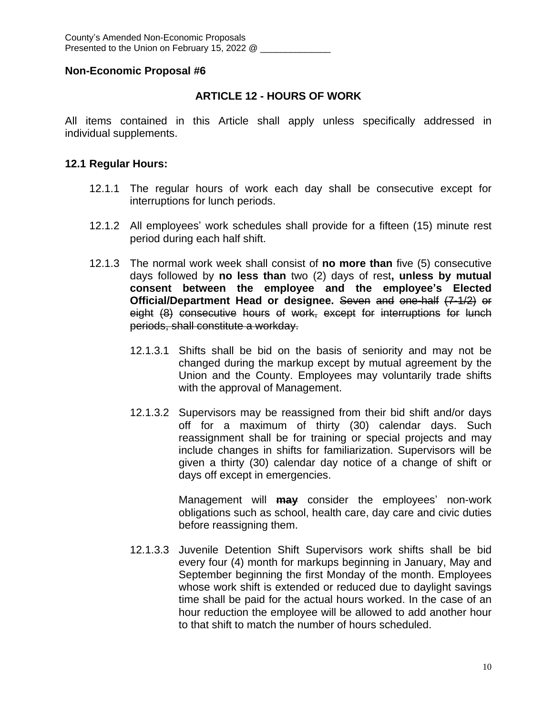# **ARTICLE 12 - HOURS OF WORK**

All items contained in this Article shall apply unless specifically addressed in individual supplements.

### **12.1 Regular Hours:**

- 12.1.1 The regular hours of work each day shall be consecutive except for interruptions for lunch periods.
- 12.1.2 All employees' work schedules shall provide for a fifteen (15) minute rest period during each half shift.
- 12.1.3 The normal work week shall consist of **no more than** five (5) consecutive days followed by **no less than** two (2) days of rest**, unless by mutual consent between the employee and the employee's Elected Official/Department Head or designee.** Seven and one-half (7-1/2) or eight (8) consecutive hours of work, except for interruptions for lunch periods, shall constitute a workday.
	- 12.1.3.1 Shifts shall be bid on the basis of seniority and may not be changed during the markup except by mutual agreement by the Union and the County. Employees may voluntarily trade shifts with the approval of Management.
	- 12.1.3.2 Supervisors may be reassigned from their bid shift and/or days off for a maximum of thirty (30) calendar days. Such reassignment shall be for training or special projects and may include changes in shifts for familiarization. Supervisors will be given a thirty (30) calendar day notice of a change of shift or days off except in emergencies.

Management will **may** consider the employees' non-work obligations such as school, health care, day care and civic duties before reassigning them.

12.1.3.3 Juvenile Detention Shift Supervisors work shifts shall be bid every four (4) month for markups beginning in January, May and September beginning the first Monday of the month. Employees whose work shift is extended or reduced due to daylight savings time shall be paid for the actual hours worked. In the case of an hour reduction the employee will be allowed to add another hour to that shift to match the number of hours scheduled.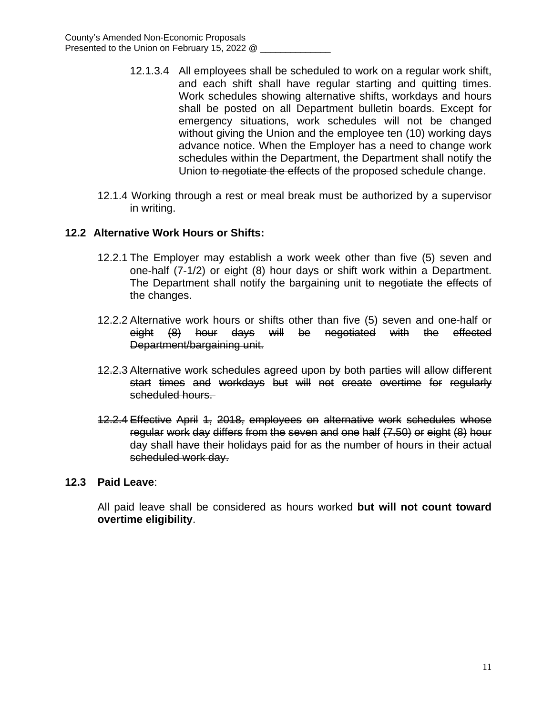- 12.1.3.4 All employees shall be scheduled to work on a regular work shift, and each shift shall have regular starting and quitting times. Work schedules showing alternative shifts, workdays and hours shall be posted on all Department bulletin boards. Except for emergency situations, work schedules will not be changed without giving the Union and the employee ten (10) working days advance notice. When the Employer has a need to change work schedules within the Department, the Department shall notify the Union to negotiate the effects of the proposed schedule change.
- 12.1.4 Working through a rest or meal break must be authorized by a supervisor in writing.

# **12.2 Alternative Work Hours or Shifts:**

- 12.2.1 The Employer may establish a work week other than five (5) seven and one-half (7-1/2) or eight (8) hour days or shift work within a Department. The Department shall notify the bargaining unit to negotiate the effects of the changes.
- 12.2.2 Alternative work hours or shifts other than five (5) seven and one-half or eight (8) hour days will be negotiated with the effected Department/bargaining unit.
- 12.2.3 Alternative work schedules agreed upon by both parties will allow different start times and workdays but will not create overtime for regularly scheduled hours.
- 12.2.4 Effective April 1, 2018, employees on alternative work schedules whose regular work day differs from the seven and one half (7.50) or eight (8) hour day shall have their holidays paid for as the number of hours in their actual scheduled work day.

# **12.3 Paid Leave**:

All paid leave shall be considered as hours worked **but will not count toward overtime eligibility**.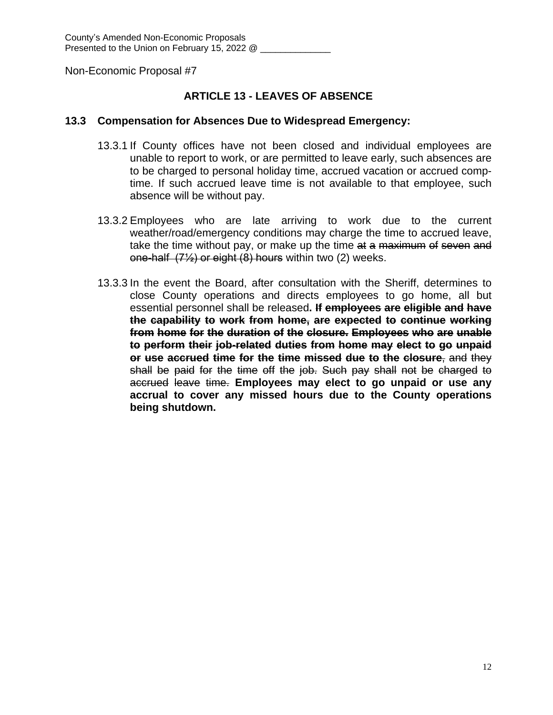# **ARTICLE 13 - LEAVES OF ABSENCE**

### **13.3 Compensation for Absences Due to Widespread Emergency:**

- 13.3.1 If County offices have not been closed and individual employees are unable to report to work, or are permitted to leave early, such absences are to be charged to personal holiday time, accrued vacation or accrued comptime. If such accrued leave time is not available to that employee, such absence will be without pay.
- 13.3.2 Employees who are late arriving to work due to the current weather/road/emergency conditions may charge the time to accrued leave, take the time without pay, or make up the time at a maximum of seven and one-half (7½) or eight (8) hours within two (2) weeks.
- 13.3.3 In the event the Board, after consultation with the Sheriff, determines to close County operations and directs employees to go home, all but essential personnel shall be released**. If employees are eligible and have the capability to work from home, are expected to continue working from home for the duration of the closure. Employees who are unable to perform their job-related duties from home may elect to go unpaid or use accrued time for the time missed due to the closure**, and they shall be paid for the time off the job. Such pay shall not be charged to accrued leave time. **Employees may elect to go unpaid or use any accrual to cover any missed hours due to the County operations being shutdown.**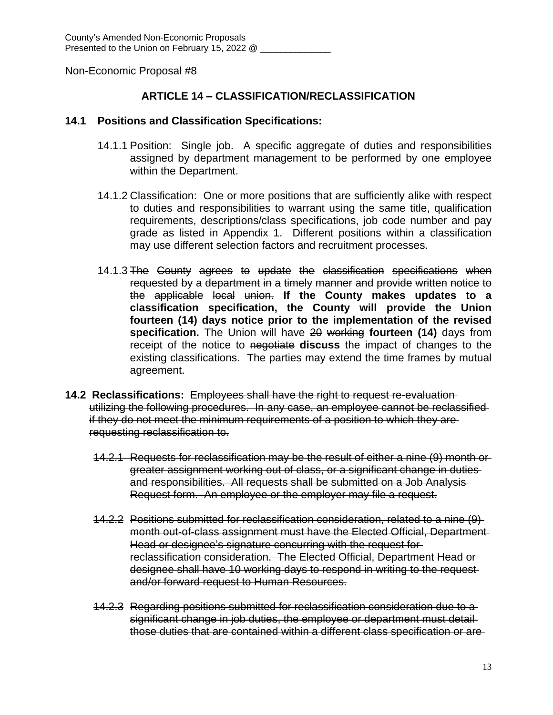# **ARTICLE 14 – CLASSIFICATION/RECLASSIFICATION**

#### **14.1 Positions and Classification Specifications:**

- 14.1.1 Position: Single job. A specific aggregate of duties and responsibilities assigned by department management to be performed by one employee within the Department.
- 14.1.2 Classification: One or more positions that are sufficiently alike with respect to duties and responsibilities to warrant using the same title, qualification requirements, descriptions/class specifications, job code number and pay grade as listed in Appendix 1. Different positions within a classification may use different selection factors and recruitment processes.
- 14.1.3 The County agrees to update the classification specifications when requested by a department in a timely manner and provide written notice to the applicable local union. **If the County makes updates to a classification specification, the County will provide the Union fourteen (14) days notice prior to the implementation of the revised specification.** The Union will have 20 working **fourteen (14)** days from receipt of the notice to negotiate **discuss** the impact of changes to the existing classifications. The parties may extend the time frames by mutual agreement.
- **14.2 Reclassifications:** Employees shall have the right to request re-evaluation utilizing the following procedures. In any case, an employee cannot be reclassified if they do not meet the minimum requirements of a position to which they are requesting reclassification to.
	- 14.2.1 Requests for reclassification may be the result of either a nine (9) month or greater assignment working out of class, or a significant change in duties and responsibilities. All requests shall be submitted on a Job Analysis Request form. An employee or the employer may file a request.
	- 14.2.2 Positions submitted for reclassification consideration, related to a nine (9) month out-of-class assignment must have the Elected Official, Department Head or designee's signature concurring with the request for reclassification consideration. The Elected Official, Department Head or designee shall have 10 working days to respond in writing to the request and/or forward request to Human Resources.
	- 14.2.3 Regarding positions submitted for reclassification consideration due to a significant change in job duties, the employee or department must detail those duties that are contained within a different class specification or are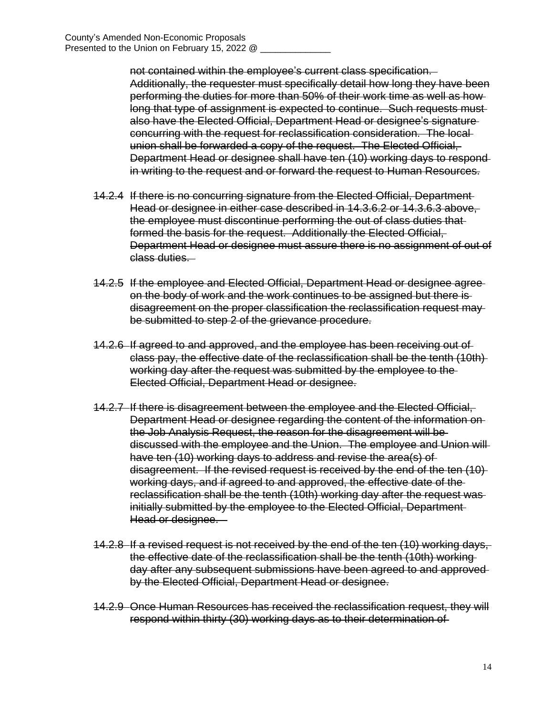not contained within the employee's current class specification. Additionally, the requester must specifically detail how long they have been performing the duties for more than 50% of their work time as well as how long that type of assignment is expected to continue. Such requests mustalso have the Elected Official, Department Head or designee's signature concurring with the request for reclassification consideration. The local union shall be forwarded a copy of the request. The Elected Official, Department Head or designee shall have ten (10) working days to respond in writing to the request and or forward the request to Human Resources.

- 14.2.4 If there is no concurring signature from the Elected Official, Department Head or designee in either case described in 14.3.6.2 or 14.3.6.3 above, the employee must discontinue performing the out of class duties that formed the basis for the request. Additionally the Elected Official, Department Head or designee must assure there is no assignment of out of class duties.
- 14.2.5 If the employee and Elected Official, Department Head or designee agree on the body of work and the work continues to be assigned but there is disagreement on the proper classification the reclassification request may be submitted to step 2 of the grievance procedure.
- 14.2.6 If agreed to and approved, and the employee has been receiving out of class pay, the effective date of the reclassification shall be the tenth (10th) working day after the request was submitted by the employee to the Elected Official, Department Head or designee.
- 14.2.7 If there is disagreement between the employee and the Elected Official, Department Head or designee regarding the content of the information on the Job Analysis Request, the reason for the disagreement will be discussed with the employee and the Union. The employee and Union will have ten (10) working days to address and revise the area(s) of disagreement. If the revised request is received by the end of the ten (10) working days, and if agreed to and approved, the effective date of the reclassification shall be the tenth (10th) working day after the request was initially submitted by the employee to the Elected Official, Department Head or designee.
- 14.2.8 If a revised request is not received by the end of the ten (10) working days, the effective date of the reclassification shall be the tenth (10th) working day after any subsequent submissions have been agreed to and approved by the Elected Official, Department Head or designee.
- 14.2.9 Once Human Resources has received the reclassification request, they will respond within thirty (30) working days as to their determination of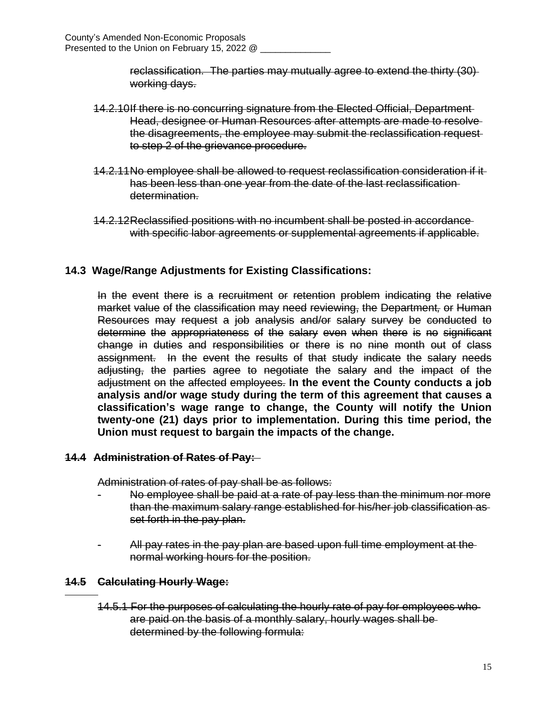reclassification. The parties may mutually agree to extend the thirty (30) working days.

- 14.2.10If there is no concurring signature from the Elected Official, Department Head, designee or Human Resources after attempts are made to resolve the disagreements, the employee may submit the reclassification request to step 2 of the grievance procedure.
- 14.2.11No employee shall be allowed to request reclassification consideration if it has been less than one year from the date of the last reclassification determination.
- 14.2.12Reclassified positions with no incumbent shall be posted in accordance with specific labor agreements or supplemental agreements if applicable.

# **14.3 Wage/Range Adjustments for Existing Classifications:**

In the event there is a recruitment or retention problem indicating the relative market value of the classification may need reviewing, the Department*,* or Human Resources may request a job analysis and/or salary survey be conducted to determine the appropriateness of the salary even when there is no significant change in duties and responsibilities or there is no nine month out of class assignment. In the event the results of that study indicate the salary needs adjusting, the parties agree to negotiate the salary and the impact of the adjustment on the affected employees. **In the event the County conducts a job analysis and/or wage study during the term of this agreement that causes a classification's wage range to change, the County will notify the Union twenty-one (21) days prior to implementation. During this time period, the Union must request to bargain the impacts of the change.**

# **14.4 Administration of Rates of Pay:**

Administration of rates of pay shall be as follows:

- No employee shall be paid at a rate of pay less than the minimum nor more than the maximum salary range established for his/her job classification as set forth in the pay plan.
- All pay rates in the pay plan are based upon full time employment at the normal working hours for the position.

# **14.5 Calculating Hourly Wage:**

 $\overline{a}$ 

14.5.1 For the purposes of calculating the hourly rate of pay for employees who are paid on the basis of a monthly salary, hourly wages shall be determined by the following formula: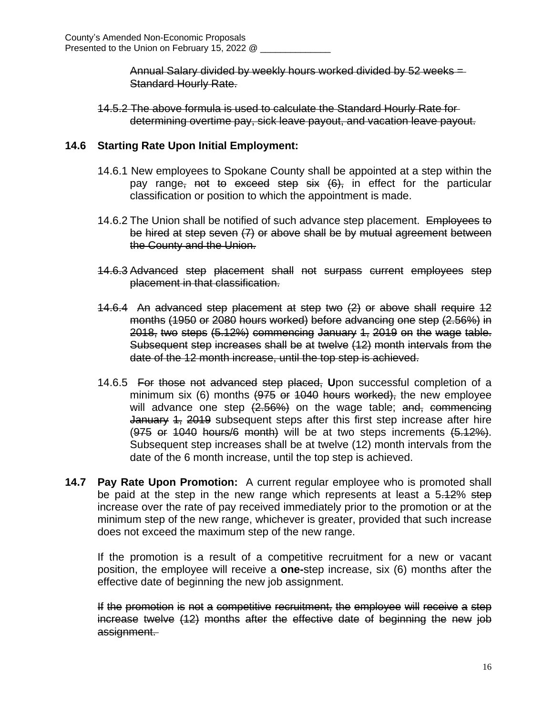Annual Salary divided by weekly hours worked divided by 52 weeks = Standard Hourly Rate.

14.5.2 The above formula is used to calculate the Standard Hourly Rate for determining overtime pay, sick leave payout, and vacation leave payout.

# **14.6 Starting Rate Upon Initial Employment:**

- 14.6.1 New employees to Spokane County shall be appointed at a step within the pay range<sub>r</sub> not to exceed step six  $(6)$ , in effect for the particular classification or position to which the appointment is made.
- 14.6.2 The Union shall be notified of such advance step placement. Employees to be hired at step seven (7) or above shall be by mutual agreement between the County and the Union.
- 14.6.3 Advanced step placement shall not surpass current employees step placement in that classification.
- 14.6.4 An advanced step placement at step two (2) or above shall require 12 months (1950 or 2080 hours worked) before advancing one step (2.56%) in 2018, two steps (5.12%) commencing January 1, 2019 on the wage table. Subsequent step increases shall be at twelve (12) month intervals from the date of the 12 month increase, until the top step is achieved.
- 14.6.5 For those not advanced step placed, **U**pon successful completion of a minimum six (6) months (975 or 1040 hours worked), the new employee will advance one step  $(2.56%)$  on the wage table; and, commencing January 4, 2019 subsequent steps after this first step increase after hire  $(975$  or 1040 hours/6 month) will be at two steps increments  $(5.12\%)$ . Subsequent step increases shall be at twelve (12) month intervals from the date of the 6 month increase, until the top step is achieved.
- **14.7 Pay Rate Upon Promotion:** A current regular employee who is promoted shall be paid at the step in the new range which represents at least a 5.12% step increase over the rate of pay received immediately prior to the promotion or at the minimum step of the new range, whichever is greater, provided that such increase does not exceed the maximum step of the new range.

If the promotion is a result of a competitive recruitment for a new or vacant position, the employee will receive a **one-**step increase, six (6) months after the effective date of beginning the new job assignment.

If the promotion is not a competitive recruitment, the employee will receive a step increase twelve (12) months after the effective date of beginning the new job assignment.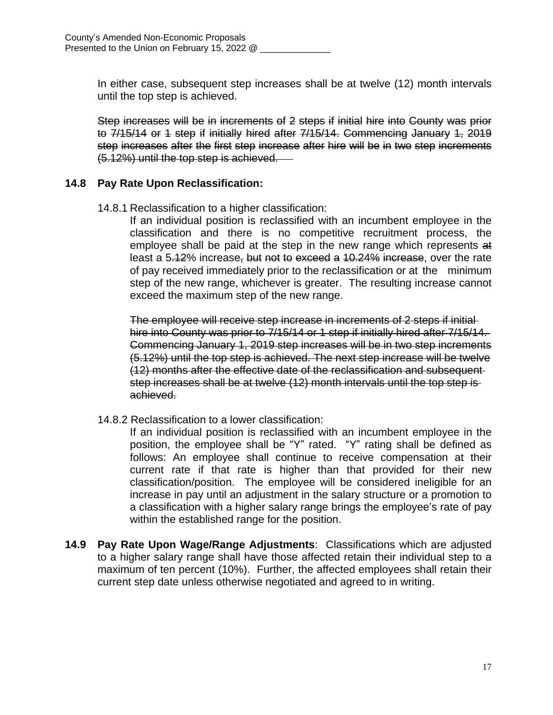In either case, subsequent step increases shall be at twelve (12) month intervals until the top step is achieved.

Step increases will be in increments of 2 steps if initial hire into County was prior to 7/15/14 or 1 step if initially hired after 7/15/14. Commencing January 1, 2019 step increases after the first step increase after hire will be in two step increments (5.12%) until the top step is achieved.

# **14.8 Pay Rate Upon Reclassification:**

14.8.1 Reclassification to a higher classification:

If an individual position is reclassified with an incumbent employee in the classification and there is no competitive recruitment process, the employee shall be paid at the step in the new range which represents at least a 5.12% increase, but not to exceed a 10.24% increase, over the rate of pay received immediately prior to the reclassification or at the minimum step of the new range, whichever is greater. The resulting increase cannot exceed the maximum step of the new range.

The employee will receive step increase in increments of 2 steps if initial hire into County was prior to 7/15/14 or 1 step if initially hired after 7/15/14. Commencing January 1, 2019 step increases will be in two step increments (5.12%) until the top step is achieved. The next step increase will be twelve (12) months after the effective date of the reclassification and subsequent step increases shall be at twelve (12) month intervals until the top step is achieved.

14.8.2 Reclassification to a lower classification:

If an individual position is reclassified with an incumbent employee in the position, the employee shall be "Y" rated. "Y" rating shall be defined as follows: An employee shall continue to receive compensation at their current rate if that rate is higher than that provided for their new classification/position. The employee will be considered ineligible for an increase in pay until an adjustment in the salary structure or a promotion to a classification with a higher salary range brings the employee's rate of pay within the established range for the position.

**14.9 Pay Rate Upon Wage/Range Adjustments**: Classifications which are adjusted to a higher salary range shall have those affected retain their individual step to a maximum of ten percent (10%). Further, the affected employees shall retain their current step date unless otherwise negotiated and agreed to in writing.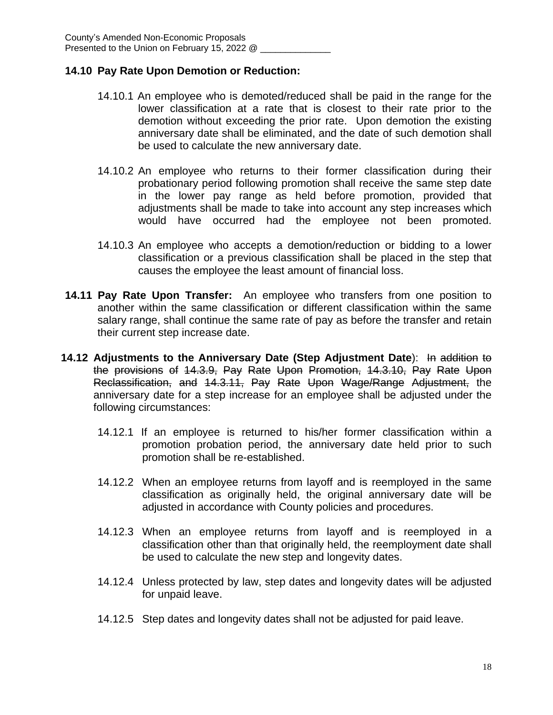# **14.10 Pay Rate Upon Demotion or Reduction:**

- 14.10.1 An employee who is demoted/reduced shall be paid in the range for the lower classification at a rate that is closest to their rate prior to the demotion without exceeding the prior rate. Upon demotion the existing anniversary date shall be eliminated, and the date of such demotion shall be used to calculate the new anniversary date.
- 14.10.2 An employee who returns to their former classification during their probationary period following promotion shall receive the same step date in the lower pay range as held before promotion, provided that adjustments shall be made to take into account any step increases which would have occurred had the employee not been promoted.
- 14.10.3 An employee who accepts a demotion/reduction or bidding to a lower classification or a previous classification shall be placed in the step that causes the employee the least amount of financial loss.
- **14.11 Pay Rate Upon Transfer:** An employee who transfers from one position to another within the same classification or different classification within the same salary range, shall continue the same rate of pay as before the transfer and retain their current step increase date.
- **14.12 Adjustments to the Anniversary Date (Step Adjustment Date**): In addition to the provisions of 14.3.9, Pay Rate Upon Promotion, 14.3.10, Pay Rate Upon Reclassification, and 14.3.11, Pay Rate Upon Wage/Range Adjustment, the anniversary date for a step increase for an employee shall be adjusted under the following circumstances:
	- 14.12.1 If an employee is returned to his/her former classification within a promotion probation period, the anniversary date held prior to such promotion shall be re-established.
	- 14.12.2 When an employee returns from layoff and is reemployed in the same classification as originally held, the original anniversary date will be adjusted in accordance with County policies and procedures.
	- 14.12.3 When an employee returns from layoff and is reemployed in a classification other than that originally held, the reemployment date shall be used to calculate the new step and longevity dates.
	- 14.12.4 Unless protected by law, step dates and longevity dates will be adjusted for unpaid leave.
	- 14.12.5 Step dates and longevity dates shall not be adjusted for paid leave.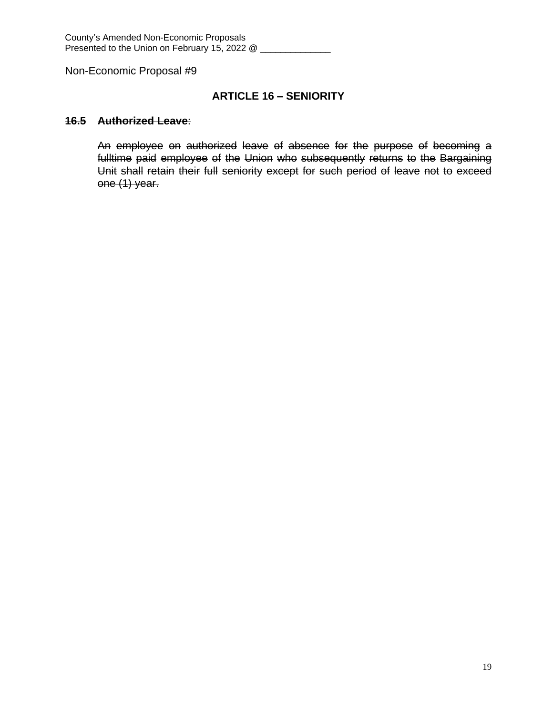# **ARTICLE 16 – SENIORITY**

#### **16.5 Authorized Leave**:

An employee on authorized leave of absence for the purpose of becoming a fulltime paid employee of the Union who subsequently returns to the Bargaining Unit shall retain their full seniority except for such period of leave not to exceed one (1) year.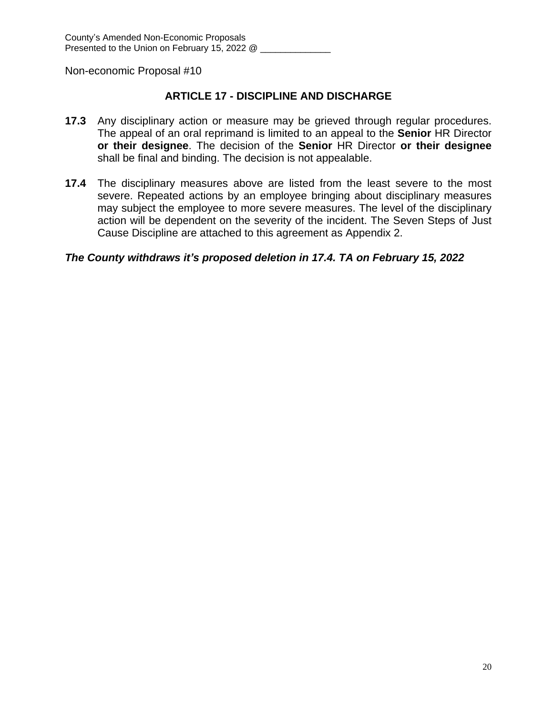# **ARTICLE 17 - DISCIPLINE AND DISCHARGE**

- **17.3** Any disciplinary action or measure may be grieved through regular procedures. The appeal of an oral reprimand is limited to an appeal to the **Senior** HR Director **or their designee**. The decision of the **Senior** HR Director **or their designee** shall be final and binding. The decision is not appealable.
- **17.4** The disciplinary measures above are listed from the least severe to the most severe. Repeated actions by an employee bringing about disciplinary measures may subject the employee to more severe measures. The level of the disciplinary action will be dependent on the severity of the incident. The Seven Steps of Just Cause Discipline are attached to this agreement as Appendix 2.

# *The County withdraws it's proposed deletion in 17.4. TA on February 15, 2022*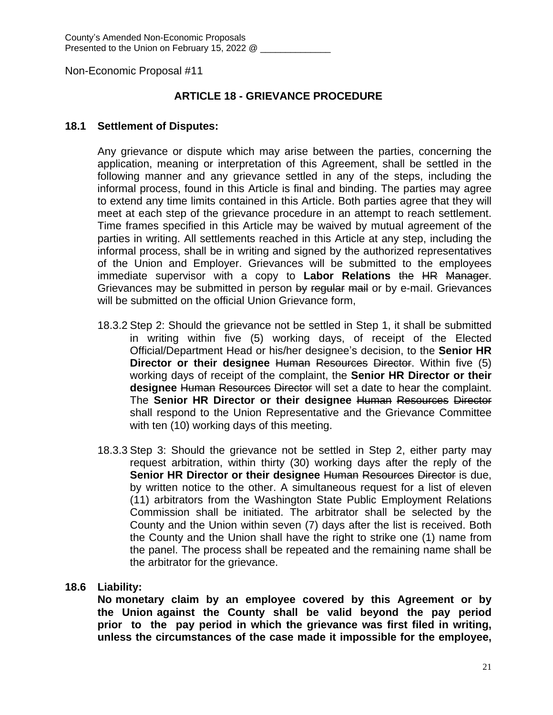# **ARTICLE 18 - GRIEVANCE PROCEDURE**

### **18.1 Settlement of Disputes:**

Any grievance or dispute which may arise between the parties, concerning the application, meaning or interpretation of this Agreement, shall be settled in the following manner and any grievance settled in any of the steps, including the informal process, found in this Article is final and binding. The parties may agree to extend any time limits contained in this Article. Both parties agree that they will meet at each step of the grievance procedure in an attempt to reach settlement. Time frames specified in this Article may be waived by mutual agreement of the parties in writing. All settlements reached in this Article at any step, including the informal process, shall be in writing and signed by the authorized representatives of the Union and Employer. Grievances will be submitted to the employees immediate supervisor with a copy to **Labor Relations** the HR Manager. Grievances may be submitted in person by regular mail or by e-mail. Grievances will be submitted on the official Union Grievance form,

- 18.3.2 Step 2: Should the grievance not be settled in Step 1, it shall be submitted in writing within five (5) working days, of receipt of the Elected Official/Department Head or his/her designee's decision, to the **Senior HR Director or their designee** Human Resources Director. Within five (5) working days of receipt of the complaint, the **Senior HR Director or their designee** Human Resources Director will set a date to hear the complaint. The **Senior HR Director or their designee** Human Resources Director shall respond to the Union Representative and the Grievance Committee with ten (10) working days of this meeting.
- 18.3.3 Step 3: Should the grievance not be settled in Step 2, either party may request arbitration, within thirty (30) working days after the reply of the **Senior HR Director or their designee** Human Resources Director is due, by written notice to the other. A simultaneous request for a list of eleven (11) arbitrators from the Washington State Public Employment Relations Commission shall be initiated. The arbitrator shall be selected by the County and the Union within seven (7) days after the list is received. Both the County and the Union shall have the right to strike one (1) name from the panel. The process shall be repeated and the remaining name shall be the arbitrator for the grievance.

# **18.6 Liability:**

**No monetary claim by an employee covered by this Agreement or by the Union against the County shall be valid beyond the pay period prior to the pay period in which the grievance was first filed in writing, unless the circumstances of the case made it impossible for the employee,**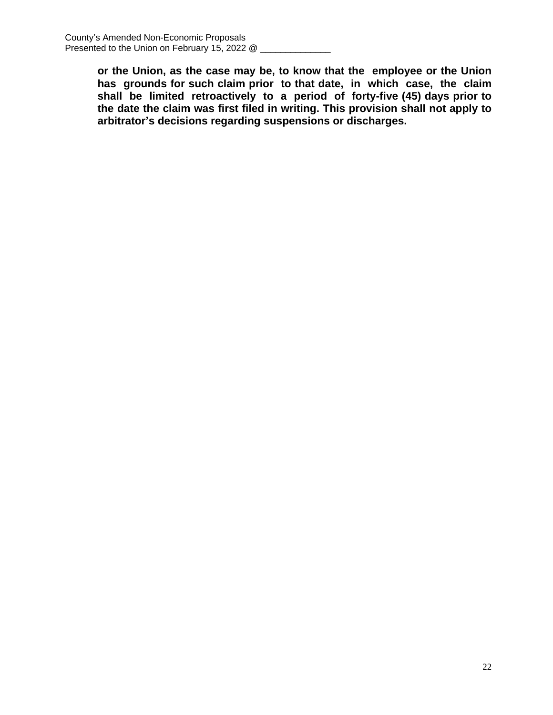**or the Union, as the case may be, to know that the employee or the Union has grounds for such claim prior to that date, in which case, the claim shall be limited retroactively to a period of forty-five (45) days prior to the date the claim was first filed in writing. This provision shall not apply to arbitrator's decisions regarding suspensions or discharges.**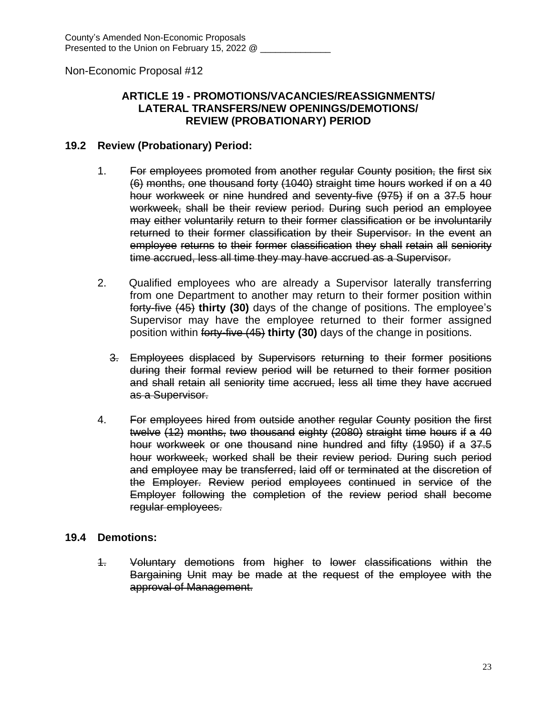# **ARTICLE 19 - PROMOTIONS/VACANCIES/REASSIGNMENTS/ LATERAL TRANSFERS/NEW OPENINGS/DEMOTIONS/ REVIEW (PROBATIONARY) PERIOD**

### **19.2 Review (Probationary) Period:**

- 1. For employees promoted from another regular County position, the first six (6) months, one thousand forty (1040) straight time hours worked if on a 40 hour workweek or nine hundred and seventy-five (975) if on a 37.5 hour workweek, shall be their review period. During such period an employee may either voluntarily return to their former classification or be involuntarily returned to their former classification by their Supervisor. In the event an employee returns to their former classification they shall retain all seniority time accrued, less all time they may have accrued as a Supervisor.
- 2. Qualified employees who are already a Supervisor laterally transferring from one Department to another may return to their former position within forty-five (45) **thirty (30)** days of the change of positions. The employee's Supervisor may have the employee returned to their former assigned position within forty-five (45) **thirty (30)** days of the change in positions.
	- 3. Employees displaced by Supervisors returning to their former positions during their formal review period will be returned to their former position and shall retain all seniority time accrued, less all time they have accrued as a Supervisor.
- 4. For employees hired from outside another regular County position the first twelve (12) months, two thousand eighty (2080) straight time hours if a 40 hour workweek or one thousand nine hundred and fifty (1950) if a 37.5 hour workweek, worked shall be their review period. During such period and employee may be transferred, laid off or terminated at the discretion of the Employer. Review period employees continued in service of the Employer following the completion of the review period shall become regular employees.

# **19.4 Demotions:**

1. Voluntary demotions from higher to lower classifications within the Bargaining Unit may be made at the request of the employee with the approval of Management.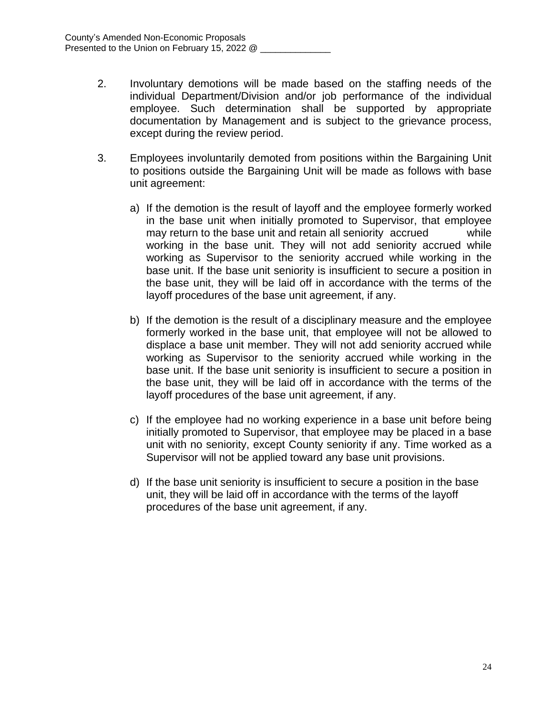- 2. Involuntary demotions will be made based on the staffing needs of the individual Department/Division and/or job performance of the individual employee. Such determination shall be supported by appropriate documentation by Management and is subject to the grievance process, except during the review period.
- 3. Employees involuntarily demoted from positions within the Bargaining Unit to positions outside the Bargaining Unit will be made as follows with base unit agreement:
	- a) If the demotion is the result of layoff and the employee formerly worked in the base unit when initially promoted to Supervisor, that employee may return to the base unit and retain all seniority accrued while working in the base unit. They will not add seniority accrued while working as Supervisor to the seniority accrued while working in the base unit. If the base unit seniority is insufficient to secure a position in the base unit, they will be laid off in accordance with the terms of the layoff procedures of the base unit agreement, if any.
	- b) If the demotion is the result of a disciplinary measure and the employee formerly worked in the base unit, that employee will not be allowed to displace a base unit member. They will not add seniority accrued while working as Supervisor to the seniority accrued while working in the base unit. If the base unit seniority is insufficient to secure a position in the base unit, they will be laid off in accordance with the terms of the layoff procedures of the base unit agreement, if any.
	- c) If the employee had no working experience in a base unit before being initially promoted to Supervisor, that employee may be placed in a base unit with no seniority, except County seniority if any. Time worked as a Supervisor will not be applied toward any base unit provisions.
	- d) If the base unit seniority is insufficient to secure a position in the base unit, they will be laid off in accordance with the terms of the layoff procedures of the base unit agreement, if any.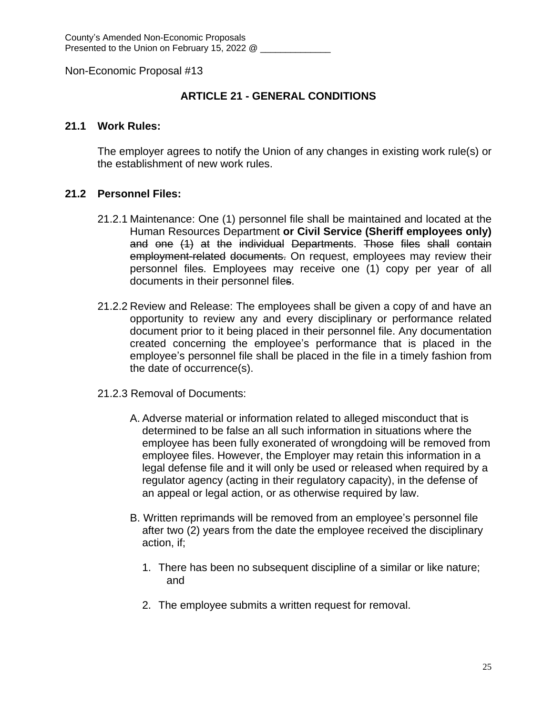# **ARTICLE 21 - GENERAL CONDITIONS**

### **21.1 Work Rules:**

The employer agrees to notify the Union of any changes in existing work rule(s) or the establishment of new work rules.

### **21.2 Personnel Files:**

- 21.2.1 Maintenance: One (1) personnel file shall be maintained and located at the Human Resources Department **or Civil Service (Sheriff employees only)** and one (1) at the individual Departments. Those files shall contain employment-related documents. On request, employees may review their personnel files. Employees may receive one (1) copy per year of all documents in their personnel files.
- 21.2.2 Review and Release: The employees shall be given a copy of and have an opportunity to review any and every disciplinary or performance related document prior to it being placed in their personnel file. Any documentation created concerning the employee's performance that is placed in the employee's personnel file shall be placed in the file in a timely fashion from the date of occurrence(s).
- 21.2.3 Removal of Documents:
	- A. Adverse material or information related to alleged misconduct that is determined to be false an all such information in situations where the employee has been fully exonerated of wrongdoing will be removed from employee files. However, the Employer may retain this information in a legal defense file and it will only be used or released when required by a regulator agency (acting in their regulatory capacity), in the defense of an appeal or legal action, or as otherwise required by law.
	- B. Written reprimands will be removed from an employee's personnel file after two (2) years from the date the employee received the disciplinary action, if;
		- 1. There has been no subsequent discipline of a similar or like nature; and
		- 2. The employee submits a written request for removal.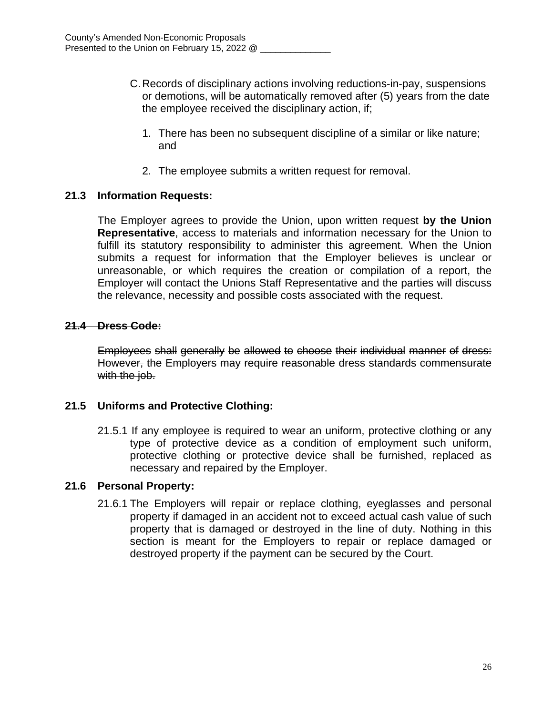- C.Records of disciplinary actions involving reductions-in-pay, suspensions or demotions, will be automatically removed after (5) years from the date the employee received the disciplinary action, if;
	- 1. There has been no subsequent discipline of a similar or like nature; and
	- 2. The employee submits a written request for removal.

### **21.3 Information Requests:**

The Employer agrees to provide the Union, upon written request **by the Union Representative**, access to materials and information necessary for the Union to fulfill its statutory responsibility to administer this agreement. When the Union submits a request for information that the Employer believes is unclear or unreasonable, or which requires the creation or compilation of a report, the Employer will contact the Unions Staff Representative and the parties will discuss the relevance, necessity and possible costs associated with the request.

### **21.4 Dress Code:**

Employees shall generally be allowed to choose their individual manner of dress: However, the Employers may require reasonable dress standards commensurate with the job.

# **21.5 Uniforms and Protective Clothing:**

21.5.1 If any employee is required to wear an uniform, protective clothing or any type of protective device as a condition of employment such uniform, protective clothing or protective device shall be furnished, replaced as necessary and repaired by the Employer.

#### **21.6 Personal Property:**

21.6.1 The Employers will repair or replace clothing, eyeglasses and personal property if damaged in an accident not to exceed actual cash value of such property that is damaged or destroyed in the line of duty. Nothing in this section is meant for the Employers to repair or replace damaged or destroyed property if the payment can be secured by the Court.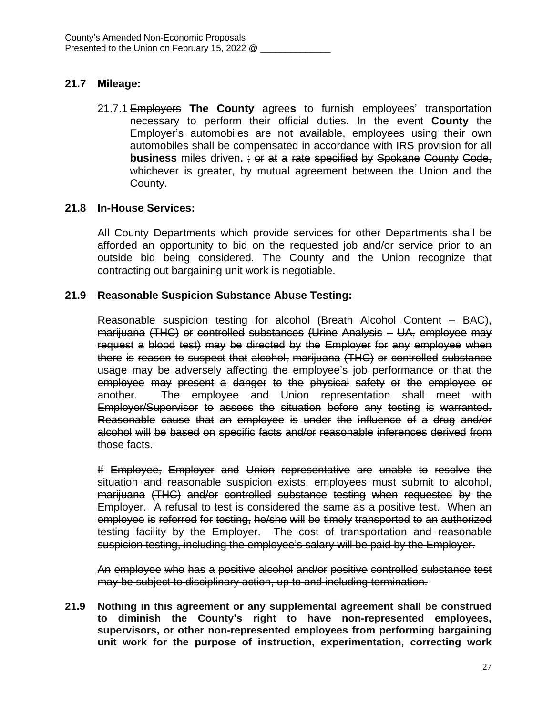# **21.7 Mileage:**

21.7.1 Employers **The County** agree**s** to furnish employees' transportation necessary to perform their official duties. In the event **County** the Employer's automobiles are not available, employees using their own automobiles shall be compensated in accordance with IRS provision for all **business** miles driven**.** ; or at a rate specified by Spokane County Code, whichever is greater, by mutual agreement between the Union and the County.

### **21.8 In-House Services:**

All County Departments which provide services for other Departments shall be afforded an opportunity to bid on the requested job and/or service prior to an outside bid being considered. The County and the Union recognize that contracting out bargaining unit work is negotiable.

#### **21.9 Reasonable Suspicion Substance Abuse Testing:**

Reasonable suspicion testing for alcohol (Breath Alcohol Content – BAC), marijuana (THC) or controlled substances (Urine Analysis – UA, employee may request a blood test) may be directed by the Employer for any employee when there is reason to suspect that alcohol, marijuana (THC) or controlled substance usage may be adversely affecting the employee's job performance or that the employee may present a danger to the physical safety or the employee or another. The employee and Union representation shall meet with Employer/Supervisor to assess the situation before any testing is warranted. Reasonable cause that an employee is under the influence of a drug and/or alcohol will be based on specific facts and/or reasonable inferences derived from those facts.

If Employee, Employer and Union representative are unable to resolve the situation and reasonable suspicion exists, employees must submit to alcohol, marijuana (THC) and/or controlled substance testing when requested by the Employer. A refusal to test is considered the same as a positive test. When an employee is referred for testing, he/she will be timely transported to an authorized testing facility by the Employer. The cost of transportation and reasonable suspicion testing, including the employee's salary will be paid by the Employer.

An employee who has a positive alcohol and/or positive controlled substance test may be subject to disciplinary action, up to and including termination.

**21.9 Nothing in this agreement or any supplemental agreement shall be construed to diminish the County's right to have non-represented employees, supervisors, or other non-represented employees from performing bargaining unit work for the purpose of instruction, experimentation, correcting work**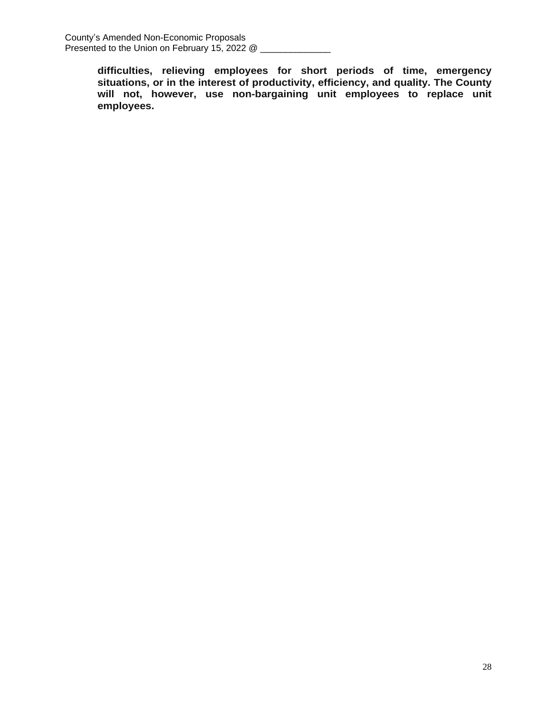**difficulties, relieving employees for short periods of time, emergency situations, or in the interest of productivity, efficiency, and quality. The County will not, however, use non-bargaining unit employees to replace unit employees.**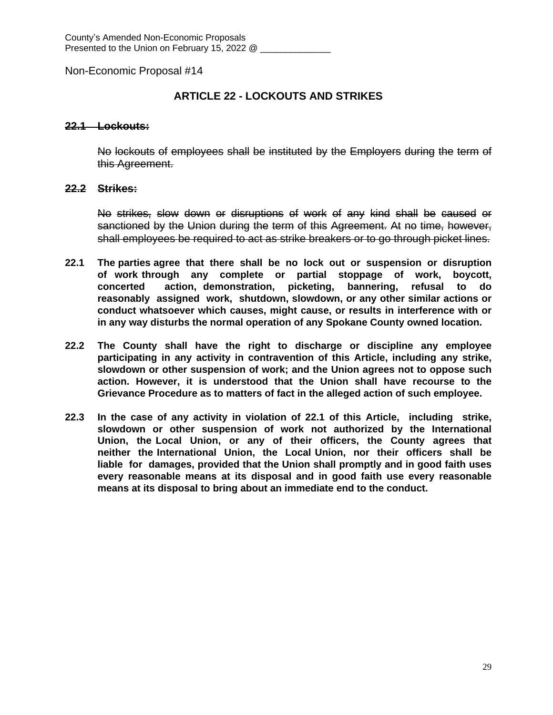# **ARTICLE 22 - LOCKOUTS AND STRIKES**

#### **22.1 Lockouts:**

No lockouts of employees shall be instituted by the Employers during the term of this Agreement.

#### **22.2 Strikes:**

No strikes, slow down or disruptions of work of any kind shall be caused or sanctioned by the Union during the term of this Agreement. At no time, however, shall employees be required to act as strike breakers or to go through picket lines.

- **22.1 The parties agree that there shall be no lock out or suspension or disruption of work through any complete or partial stoppage of work, boycott, concerted action, demonstration, picketing, bannering, refusal to do reasonably assigned work, shutdown, slowdown, or any other similar actions or conduct whatsoever which causes, might cause, or results in interference with or in any way disturbs the normal operation of any Spokane County owned location.**
- **22.2 The County shall have the right to discharge or discipline any employee participating in any activity in contravention of this Article, including any strike, slowdown or other suspension of work; and the Union agrees not to oppose such action. However, it is understood that the Union shall have recourse to the Grievance Procedure as to matters of fact in the alleged action of such employee.**
- **22.3 In the case of any activity in violation of 22.1 of this Article, including strike, slowdown or other suspension of work not authorized by the International Union, the Local Union, or any of their officers, the County agrees that neither the International Union, the Local Union, nor their officers shall be liable for damages, provided that the Union shall promptly and in good faith uses every reasonable means at its disposal and in good faith use every reasonable means at its disposal to bring about an immediate end to the conduct.**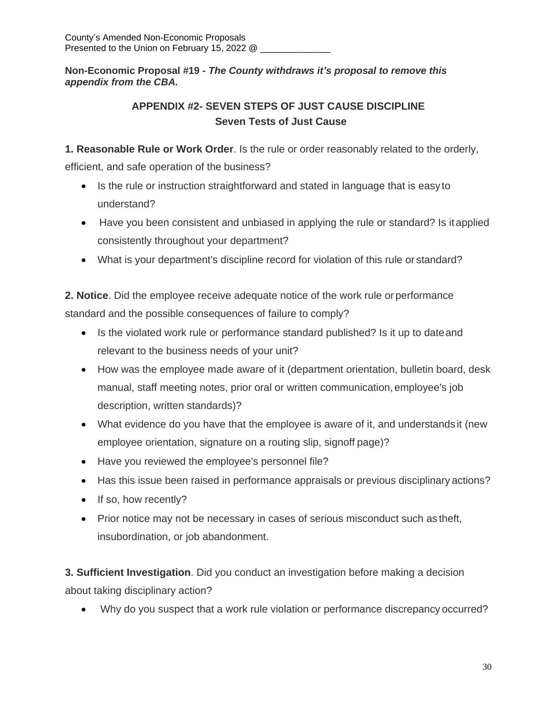**Non-Economic Proposal #19 -** *The County withdraws it's proposal to remove this appendix from the CBA.*

# **APPENDIX #2- SEVEN STEPS OF JUST CAUSE DISCIPLINE Seven Tests of Just Cause**

**1. Reasonable Rule or Work Order**. Is the rule or order reasonably related to the orderly,

efficient, and safe operation of the business?

- Is the rule or instruction straightforward and stated in language that is easy to understand?
- Have you been consistent and unbiased in applying the rule or standard? Is it applied consistently throughout your department?
- What is your department's discipline record for violation of this rule or standard?

**2. Notice**. Did the employee receive adequate notice of the work rule or performance standard and the possible consequences of failure to comply?

- Is the violated work rule or performance standard published? Is it up to date and relevant to the business needs of your unit?
- How was the employee made aware of it (department orientation, bulletin board, desk manual, staff meeting notes, prior oral or written communication, employee's job description, written standards)?
- What evidence do you have that the employee is aware of it, and understands it (new employee orientation, signature on a routing slip, signoff page)?
- Have you reviewed the employee's personnel file?
- Has this issue been raised in performance appraisals or previous disciplinary actions?
- If so, how recently?
- Prior notice may not be necessary in cases of serious misconduct such as theft, insubordination, or job abandonment.

**3. Sufficient Investigation**. Did you conduct an investigation before making a decision about taking disciplinary action?

Why do you suspect that a work rule violation or performance discrepancy occurred?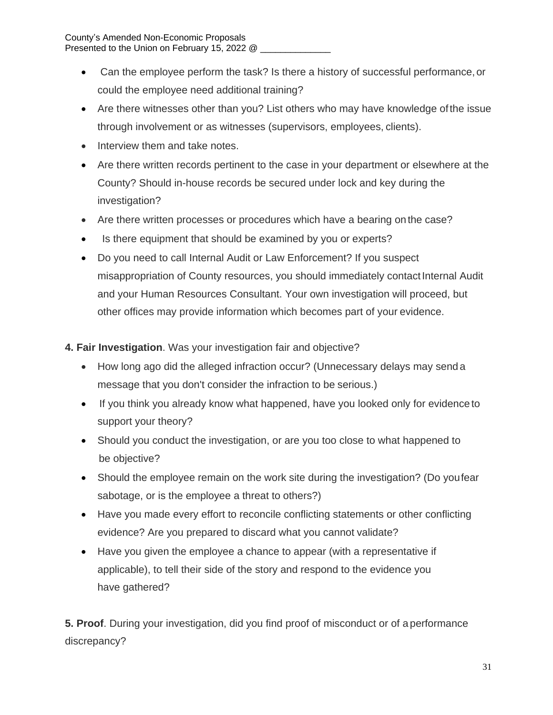- Can the employee perform the task? Is there a history of successful performance,or could the employee need additional training?
- Are there witnesses other than you? List others who may have knowledge ofthe issue through involvement or as witnesses (supervisors, employees, clients).
- Interview them and take notes.
- Are there written records pertinent to the case in your department or elsewhere at the County? Should in-house records be secured under lock and key during the investigation?
- Are there written processes or procedures which have a bearing on the case?
- Is there equipment that should be examined by you or experts?
- Do you need to call Internal Audit or Law Enforcement? If you suspect misappropriation of County resources, you should immediately contact Internal Audit and your Human Resources Consultant. Your own investigation will proceed, but other offices may provide information which becomes part of your evidence.

**4. Fair Investigation**. Was your investigation fair and objective?

- How long ago did the alleged infraction occur? (Unnecessary delays may send a message that you don't consider the infraction to be serious.)
- If you think you already know what happened, have you looked only for evidence to support your theory?
- Should you conduct the investigation, or are you too close to what happened to be objective?
- Should the employee remain on the work site during the investigation? (Do youfear sabotage, or is the employee a threat to others?)
- Have you made every effort to reconcile conflicting statements or other conflicting evidence? Are you prepared to discard what you cannot validate?
- Have you given the employee a chance to appear (with a representative if applicable), to tell their side of the story and respond to the evidence you have gathered?

**5. Proof**. During your investigation, did you find proof of misconduct or of a performance discrepancy?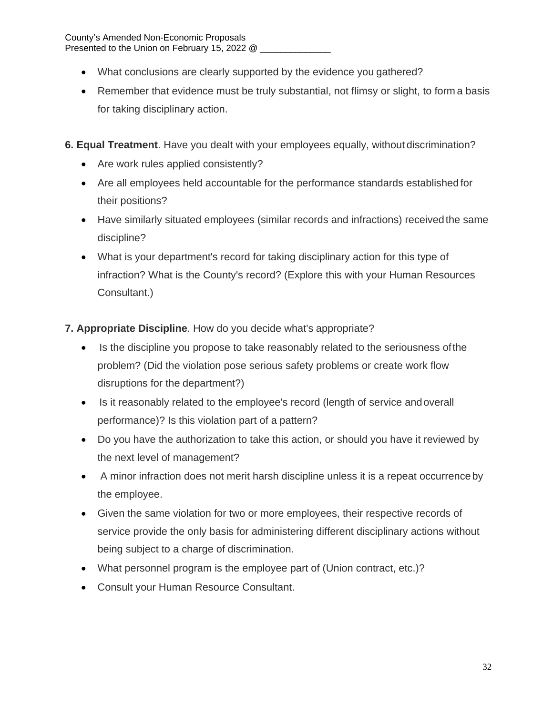- What conclusions are clearly supported by the evidence you gathered?
- Remember that evidence must be truly substantial, not flimsy or slight, to form a basis for taking disciplinary action.
- **6. Equal Treatment**. Have you dealt with your employees equally, without discrimination?
	- Are work rules applied consistently?
	- Are all employees held accountable for the performance standards established for their positions?
	- Have similarly situated employees (similar records and infractions) receivedthe same discipline?
	- What is your department's record for taking disciplinary action for this type of infraction? What is the County's record? (Explore this with your Human Resources Consultant.)

**7. Appropriate Discipline**. How do you decide what's appropriate?

- Is the discipline you propose to take reasonably related to the seriousness of the problem? (Did the violation pose serious safety problems or create work flow disruptions for the department?)
- Is it reasonably related to the employee's record (length of service and overall performance)? Is this violation part of a pattern?
- Do you have the authorization to take this action, or should you have it reviewed by the next level of management?
- A minor infraction does not merit harsh discipline unless it is a repeat occurrenceby the employee.
- Given the same violation for two or more employees, their respective records of service provide the only basis for administering different disciplinary actions without being subject to a charge of discrimination.
- What personnel program is the employee part of (Union contract, etc.)?
- Consult your Human Resource Consultant.